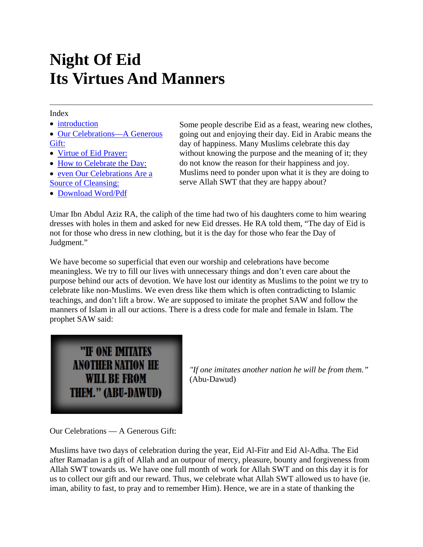## **Night Of Eid Its Virtues And Manners**

## Index

- introduction
- Our Celebrations—A Generous Gift:
- Virtue of Eid Prayer:
- How to Celebrate the Day:
- even Our Celebrations Are a Source of Cleansing:
- Download Word/Pdf

Some people describe Eid as a feast, wearing new clothes, going out and enjoying their day. Eid in Arabic means the day of happiness. Many Muslims celebrate this day without knowing the purpose and the meaning of it; they do not know the reason for their happiness and joy. Muslims need to ponder upon what it is they are doing to serve Allah SWT that they are happy about?

Umar Ibn Abdul Aziz RA, the caliph of the time had two of his daughters come to him wearing dresses with holes in them and asked for new Eid dresses. He RA told them, "The day of Eid is not for those who dress in new clothing, but it is the day for those who fear the Day of Judgment."

We have become so superficial that even our worship and celebrations have become meaningless. We try to fill our lives with unnecessary things and don't even care about the purpose behind our acts of devotion. We have lost our identity as Muslims to the point we try to celebrate like non-Muslims. We even dress like them which is often contradicting to Islamic teachings, and don't lift a brow. We are supposed to imitate the prophet SAW and follow the manners of Islam in all our actions. There is a dress code for male and female in Islam. The prophet SAW said:



*"If one imitates another nation he will be from them."* (Abu-Dawud)

Our Celebrations — A Generous Gift:

Muslims have two days of celebration during the year, Eid Al-Fitr and Eid Al-Adha. The Eid after Ramadan is a gift of Allah and an outpour of mercy, pleasure, bounty and forgiveness from Allah SWT towards us. We have one full month of work for Allah SWT and on this day it is for us to collect our gift and our reward. Thus, we celebrate what Allah SWT allowed us to have (ie. iman, ability to fast, to pray and to remember Him). Hence, we are in a state of thanking the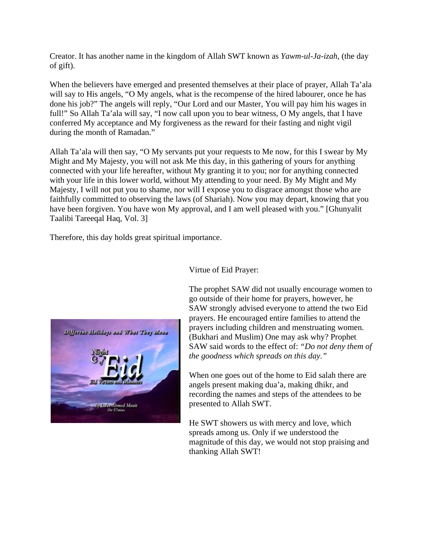Creator. It has another name in the kingdom of Allah SWT known as *Yawm-ul-Ja-izah*, (the day of gift).

When the believers have emerged and presented themselves at their place of prayer, Allah Ta'ala will say to His angels, "O My angels, what is the recompense of the hired labourer, once he has done his job?" The angels will reply, "Our Lord and our Master, You will pay him his wages in full!" So Allah Ta'ala will say, "I now call upon you to bear witness, O My angels, that I have conferred My acceptance and My forgiveness as the reward for their fasting and night vigil during the month of Ramadan."

Allah Ta'ala will then say, "O My servants put your requests to Me now, for this I swear by My Might and My Majesty, you will not ask Me this day, in this gathering of yours for anything connected with your life hereafter, without My granting it to you; nor for anything connected with your life in this lower world, without My attending to your need. By My Might and My Majesty, I will not put you to shame, nor will I expose you to disgrace amongst those who are faithfully committed to observing the laws (of Shariah). Now you may depart, knowing that you have been forgiven. You have won My approval, and I am well pleased with you." [Ghunyalit Taalibi Tareeqal Haq, Vol. 3]

Therefore, this day holds great spiritual importance.



Virtue of Eid Prayer:

The prophet SAW did not usually encourage women to go outside of their home for prayers, however, he SAW strongly advised everyone to attend the two Eid prayers. He encouraged entire families to attend the prayers including children and menstruating women. (Bukhari and Muslim) One may ask why? Prophet SAW said words to the effect of: *"Do not deny them of the goodness which spreads on this day."*

When one goes out of the home to Eid salah there are angels present making dua'a, making dhikr, and recording the names and steps of the attendees to be presented to Allah SWT.

He SWT showers us with mercy and love, which spreads among us. Only if we understood the magnitude of this day, we would not stop praising and thanking Allah SWT!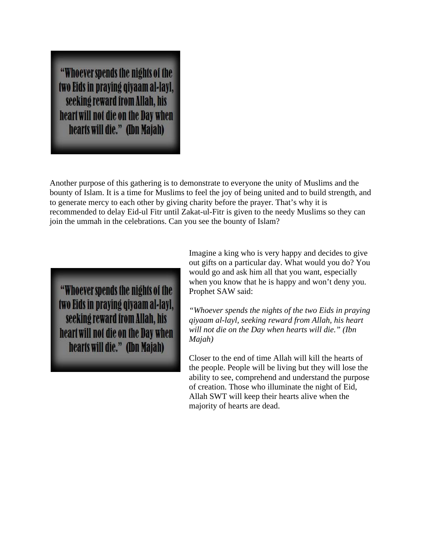"Whoever spends the nights of the two Eids in praying qiyaam al-layl, seeking reward from Allah, his heart will not die on the Day when hearts will die." (Ibn Majah)

Another purpose of this gathering is to demonstrate to everyone the unity of Muslims and the bounty of Islam. It is a time for Muslims to feel the joy of being united and to build strength, and to generate mercy to each other by giving charity before the prayer. That's why it is recommended to delay Eid-ul Fitr until Zakat-ul-Fitr is given to the needy Muslims so they can join the ummah in the celebrations. Can you see the bounty of Islam?

"Whoever spends the nights of the two Eids in praying qiyaam al-layl, seeking reward from Allah, his heart will not die on the Day when hearts will die." (Ibn Majah)

Imagine a king who is very happy and decides to give out gifts on a particular day. What would you do? You would go and ask him all that you want, especially when you know that he is happy and won't deny you. Prophet SAW said:

*"Whoever spends the nights of the two Eids in praying qiyaam al-layl, seeking reward from Allah, his heart will not die on the Day when hearts will die." (Ibn Majah)*

Closer to the end of time Allah will kill the hearts of the people. People will be living but they will lose the ability to see, comprehend and understand the purpose of creation. Those who illuminate the night of Eid, Allah SWT will keep their hearts alive when the majority of hearts are dead.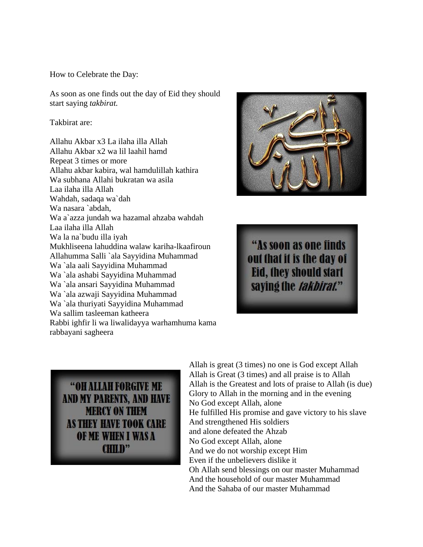How to Celebrate the Day:

As soon as one finds out the day of Eid they should start saying *takbirat.*

Takbirat are:

Allahu Akbar x3 La ilaha illa Allah Allahu Akbar x2 wa lil laahil hamd Repeat 3 times or more Allahu akbar kabira, wal hamdulillah kathira Wa subhana Allahi bukratan wa asila Laa ilaha illa Allah Wahdah, sadaqa wa`dah Wa nasara `abdah, Wa a`azza jundah wa hazamal ahzaba wahdah Laa ilaha illa Allah Wa la na`budu illa iyah Mukhliseena lahuddina walaw kariha-lkaafiroun Allahumma Salli `ala Sayyidina Muhammad Wa `ala aali Sayyidina Muhammad Wa `ala ashabi Sayyidina Muhammad Wa `ala ansari Sayyidina Muhammad Wa `ala azwaji Sayyidina Muhammad Wa `ala thuriyati Sayyidina Muhammad Wa sallim tasleeman katheera Rabbi ighfir li wa liwalidayya warhamhuma kama rabbayani sagheera



"As soon as one finds out that it is the day of Eid, they should start saying the *takbirat.*"

"OH ALLAH FORGIVE ME AND MY PARENTS, AND HAVE **MERCY ON THEM** AS THEY HAVE TOOK CARE OF ME WHEN I WAS A  $CHID"$ 

Allah is great (3 times) no one is God except Allah Allah is Great (3 times) and all praise is to Allah Allah is the Greatest and lots of praise to Allah (is due) Glory to Allah in the morning and in the evening No God except Allah, alone He fulfilled His promise and gave victory to his slave And strengthened His soldiers and alone defeated the Ahzab No God except Allah, alone And we do not worship except Him Even if the unbelievers dislike it Oh Allah send blessings on our master Muhammad And the household of our master Muhammad And the Sahaba of our master Muhammad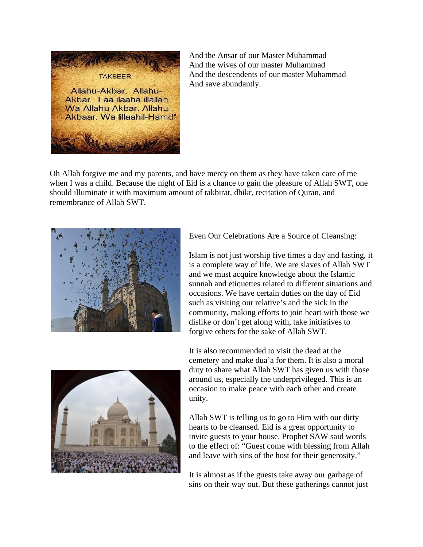

And the Ansar of our Master Muhammad And the wives of our master Muhammad And the descendents of our master Muhammad And save abundantly.

Oh Allah forgive me and my parents, and have mercy on them as they have taken care of me when I was a child. Because the night of Eid is a chance to gain the pleasure of Allah SWT, one should illuminate it with maximum amount of takbirat, dhikr, recitation of Quran, and remembrance of Allah SWT.



Even Our Celebrations Are a Source of Cleansing:

Islam is not just worship five times a day and fasting, it is a complete way of life. We are slaves of Allah SWT and we must acquire knowledge about the Islamic sunnah and etiquettes related to different situations and occasions. We have certain duties on the day of Eid such as visiting our relative's and the sick in the community, making efforts to join heart with those we dislike or don't get along with, take initiatives to forgive others for the sake of Allah SWT.



It is also recommended to visit the dead at the cemetery and make dua'a for them. It is also a moral duty to share what Allah SWT has given us with those around us, especially the underprivileged. This is an occasion to make peace with each other and create unity.

Allah SWT is telling us to go to Him with our dirty hearts to be cleansed. Eid is a great opportunity to invite guests to your house. Prophet SAW said words to the effect of: "Guest come with blessing from Allah and leave with sins of the host for their generosity."

It is almost as if the guests take away our garbage of sins on their way out. But these gatherings cannot just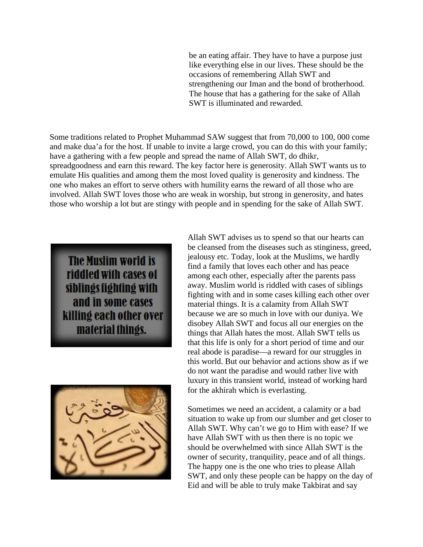be an eating affair. They have to have a purpose just like everything else in our lives. These should be the occasions of remembering Allah SWT and strengthening our Iman and the bond of brotherhood. The house that has a gathering for the sake of Allah SWT is illuminated and rewarded.

Some traditions related to Prophet Muhammad SAW suggest that from 70,000 to 100, 000 come and make dua'a for the host. If unable to invite a large crowd, you can do this with your family; have a gathering with a few people and spread the name of Allah SWT, do dhikr, spreadgoodness and earn this reward. The key factor here is generosity. Allah SWT wants us to emulate His qualities and among them the most loved quality is generosity and kindness. The one who makes an effort to serve others with humility earns the reward of all those who are involved. Allah SWT loves those who are weak in worship, but strong in generosity, and hates those who worship a lot but are stingy with people and in spending for the sake of Allah SWT.

**The Muslim world is** riddled with cases of siblings fighting with and in some cases killing each other over material things.



Allah SWT advises us to spend so that our hearts can be cleansed from the diseases such as stinginess, greed, jealousy etc. Today, look at the Muslims, we hardly find a family that loves each other and has peace among each other, especially after the parents pass away. Muslim world is riddled with cases of siblings fighting with and in some cases killing each other over material things. It is a calamity from Allah SWT because we are so much in love with our duniya. We disobey Allah SWT and focus all our energies on the things that Allah hates the most. Allah SWT tells us that this life is only for a short period of time and our real abode is paradise—a reward for our struggles in this world. But our behavior and actions show as if we do not want the paradise and would rather live with luxury in this transient world, instead of working hard for the akhirah which is everlasting.

Sometimes we need an accident, a calamity or a bad situation to wake up from our slumber and get closer to Allah SWT. Why can't we go to Him with ease? If we have Allah SWT with us then there is no topic we should be overwhelmed with since Allah SWT is the owner of security, tranquility, peace and of all things. The happy one is the one who tries to please Allah SWT, and only these people can be happy on the day of Eid and will be able to truly make Takbirat and say